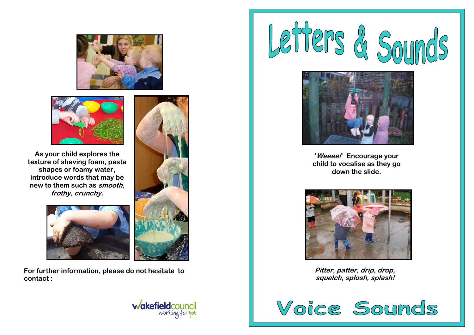



**As your child explores the texture of shaving foam, pasta shapes or foamy water, introduce words that may be new to them such as smooth, frothy, crunchy.**



**For further information, please do not hesitate to contact :**







**'Weeee!' Encourage your child to vocalise as they go down the slide.**



**Pitter, patter, drip, drop, squelch, splosh, splash!**